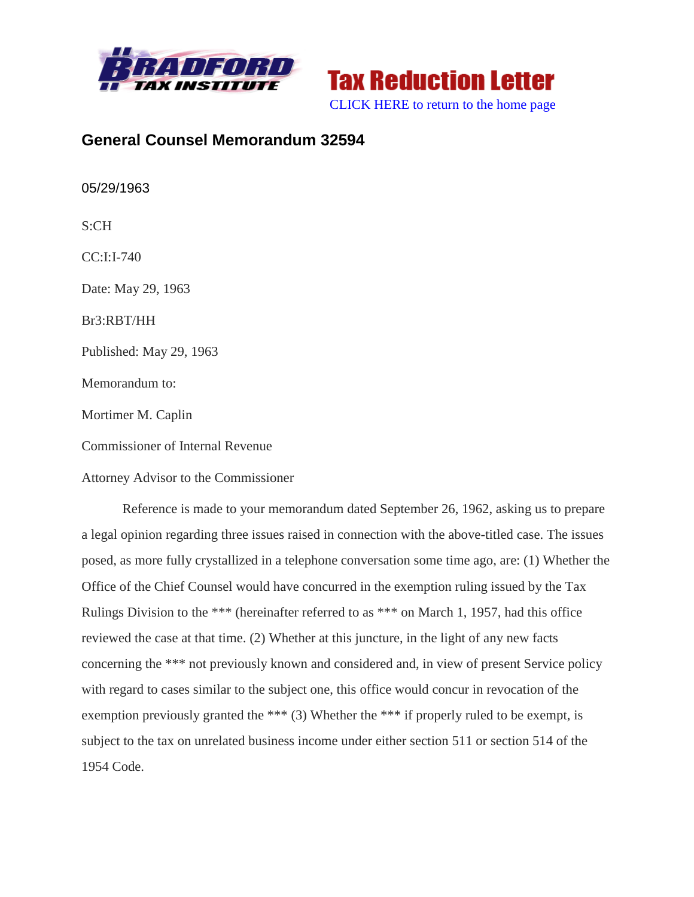



# **General Counsel Memorandum 32594**

05/29/1963

S:CH

CC:I:I-740

Date: May 29, 1963

Br3:RBT/HH

Published: May 29, 1963

Memorandum to:

Mortimer M. Caplin

Commissioner of Internal Revenue

Attorney Advisor to the Commissioner

Reference is made to your memorandum dated September 26, 1962, asking us to prepare a legal opinion regarding three issues raised in connection with the above-titled case. The issues posed, as more fully crystallized in a telephone conversation some time ago, are: (1) Whether the Office of the Chief Counsel would have concurred in the exemption ruling issued by the Tax Rulings Division to the \*\*\* (hereinafter referred to as \*\*\* on March 1, 1957, had this office reviewed the case at that time. (2) Whether at this juncture, in the light of any new facts concerning the \*\*\* not previously known and considered and, in view of present Service policy with regard to cases similar to the subject one, this office would concur in revocation of the exemption previously granted the \*\*\* (3) Whether the \*\*\* if properly ruled to be exempt, is subject to the tax on unrelated business income under either section 511 or section 514 of the 1954 Code.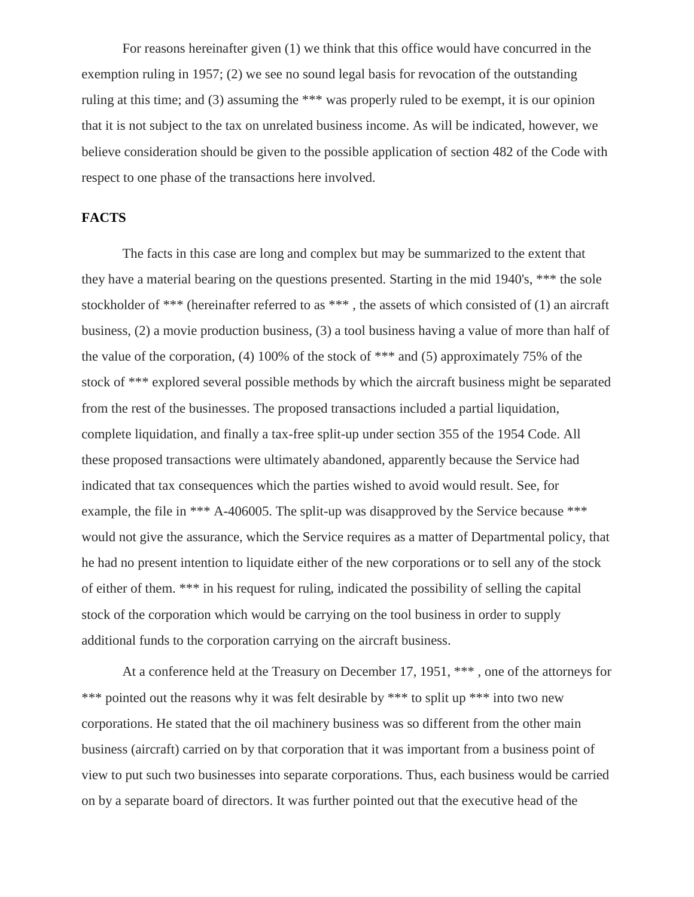For reasons hereinafter given (1) we think that this office would have concurred in the exemption ruling in 1957; (2) we see no sound legal basis for revocation of the outstanding ruling at this time; and (3) assuming the \*\*\* was properly ruled to be exempt, it is our opinion that it is not subject to the tax on unrelated business income. As will be indicated, however, we believe consideration should be given to the possible application of section 482 of the Code with respect to one phase of the transactions here involved.

# **FACTS**

The facts in this case are long and complex but may be summarized to the extent that they have a material bearing on the questions presented. Starting in the mid 1940's, \*\*\* the sole stockholder of \*\*\* (hereinafter referred to as \*\*\* , the assets of which consisted of (1) an aircraft business, (2) a movie production business, (3) a tool business having a value of more than half of the value of the corporation, (4) 100% of the stock of \*\*\* and (5) approximately 75% of the stock of \*\*\* explored several possible methods by which the aircraft business might be separated from the rest of the businesses. The proposed transactions included a partial liquidation, complete liquidation, and finally a tax-free split-up under section 355 of the 1954 Code. All these proposed transactions were ultimately abandoned, apparently because the Service had indicated that tax consequences which the parties wished to avoid would result. See, for example, the file in \*\*\* A-406005. The split-up was disapproved by the Service because \*\*\* would not give the assurance, which the Service requires as a matter of Departmental policy, that he had no present intention to liquidate either of the new corporations or to sell any of the stock of either of them. \*\*\* in his request for ruling, indicated the possibility of selling the capital stock of the corporation which would be carrying on the tool business in order to supply additional funds to the corporation carrying on the aircraft business.

At a conference held at the Treasury on December 17, 1951, \*\*\* , one of the attorneys for \*\*\* pointed out the reasons why it was felt desirable by \*\*\* to split up \*\*\* into two new corporations. He stated that the oil machinery business was so different from the other main business (aircraft) carried on by that corporation that it was important from a business point of view to put such two businesses into separate corporations. Thus, each business would be carried on by a separate board of directors. It was further pointed out that the executive head of the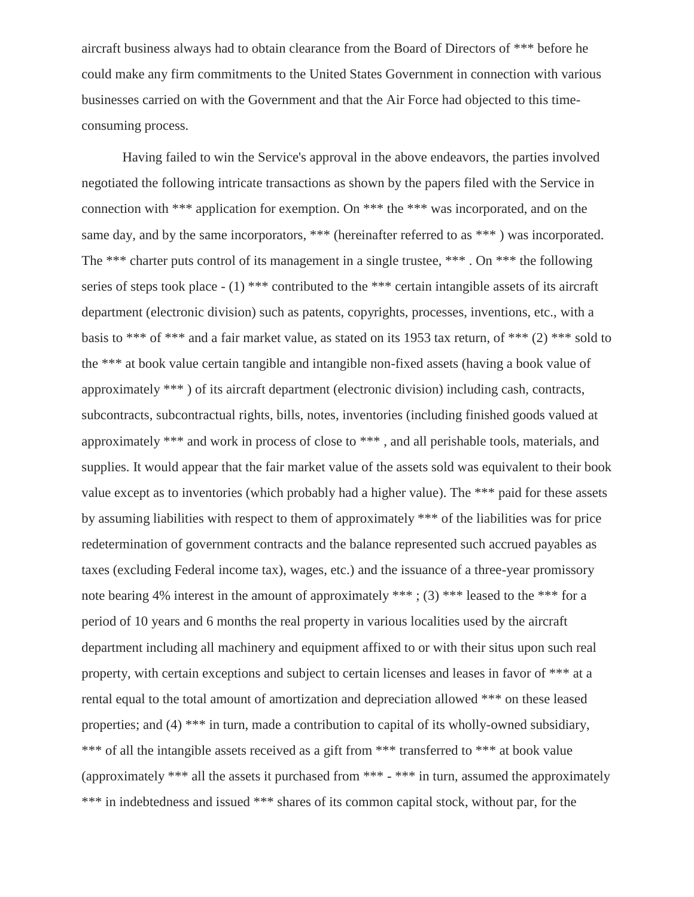aircraft business always had to obtain clearance from the Board of Directors of \*\*\* before he could make any firm commitments to the United States Government in connection with various businesses carried on with the Government and that the Air Force had objected to this timeconsuming process.

Having failed to win the Service's approval in the above endeavors, the parties involved negotiated the following intricate transactions as shown by the papers filed with the Service in connection with \*\*\* application for exemption. On \*\*\* the \*\*\* was incorporated, and on the same day, and by the same incorporators, \*\*\* (hereinafter referred to as \*\*\*) was incorporated. The \*\*\* charter puts control of its management in a single trustee, \*\*\* . On \*\*\* the following series of steps took place  $- (1)$  \*\*\* contributed to the \*\*\* certain intangible assets of its aircraft department (electronic division) such as patents, copyrights, processes, inventions, etc., with a basis to \*\*\* of \*\*\* and a fair market value, as stated on its 1953 tax return, of \*\*\* (2) \*\*\* sold to the \*\*\* at book value certain tangible and intangible non-fixed assets (having a book value of approximately \*\*\* ) of its aircraft department (electronic division) including cash, contracts, subcontracts, subcontractual rights, bills, notes, inventories (including finished goods valued at approximately \*\*\* and work in process of close to \*\*\* , and all perishable tools, materials, and supplies. It would appear that the fair market value of the assets sold was equivalent to their book value except as to inventories (which probably had a higher value). The \*\*\* paid for these assets by assuming liabilities with respect to them of approximately \*\*\* of the liabilities was for price redetermination of government contracts and the balance represented such accrued payables as taxes (excluding Federal income tax), wages, etc.) and the issuance of a three-year promissory note bearing 4% interest in the amount of approximately \*\*\*; (3) \*\*\* leased to the \*\*\* for a period of 10 years and 6 months the real property in various localities used by the aircraft department including all machinery and equipment affixed to or with their situs upon such real property, with certain exceptions and subject to certain licenses and leases in favor of \*\*\* at a rental equal to the total amount of amortization and depreciation allowed \*\*\* on these leased properties; and (4) \*\*\* in turn, made a contribution to capital of its wholly-owned subsidiary, \*\*\* of all the intangible assets received as a gift from \*\*\* transferred to \*\*\* at book value (approximately \*\*\* all the assets it purchased from \*\*\* - \*\*\* in turn, assumed the approximately \*\*\* in indebtedness and issued \*\*\* shares of its common capital stock, without par, for the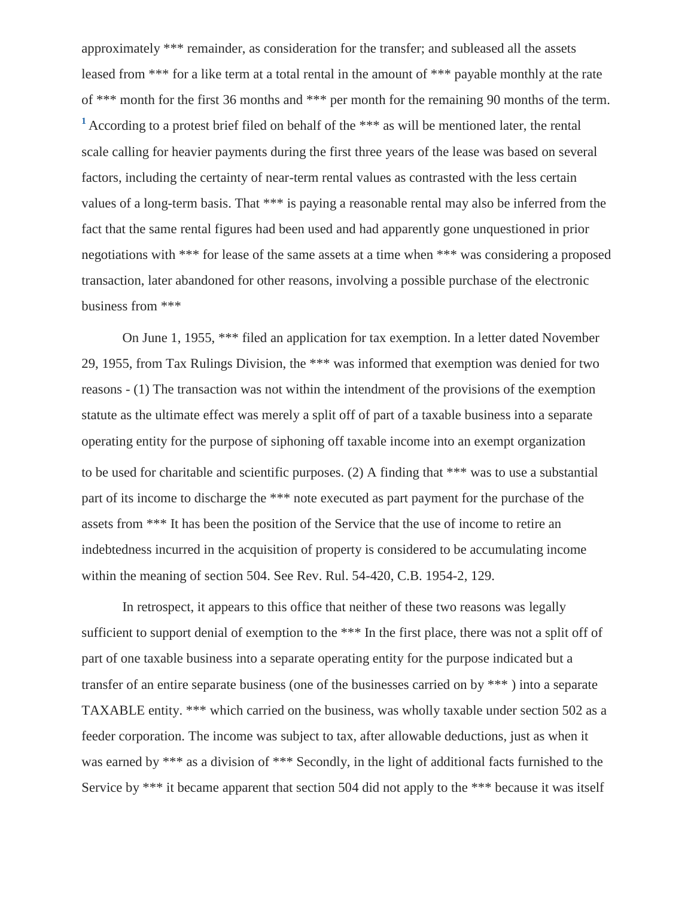<span id="page-3-0"></span>approximately \*\*\* remainder, as consideration for the transfer; and subleased all the assets leased from \*\*\* for a like term at a total rental in the amount of \*\*\* payable monthly at the rate of \*\*\* month for the first 36 months and \*\*\* per month for the remaining 90 months of the term. **[1](#page-20-0)** According to a protest brief filed on behalf of the \*\*\* as will be mentioned later, the rental scale calling for heavier payments during the first three years of the lease was based on several factors, including the certainty of near-term rental values as contrasted with the less certain values of a long-term basis. That \*\*\* is paying a reasonable rental may also be inferred from the fact that the same rental figures had been used and had apparently gone unquestioned in prior negotiations with \*\*\* for lease of the same assets at a time when \*\*\* was considering a proposed transaction, later abandoned for other reasons, involving a possible purchase of the electronic business from \*\*\*

On June 1, 1955, \*\*\* filed an application for tax exemption. In a letter dated November 29, 1955, from Tax Rulings Division, the \*\*\* was informed that exemption was denied for two reasons - (1) The transaction was not within the intendment of the provisions of the exemption statute as the ultimate effect was merely a split off of part of a taxable business into a separate operating entity for the purpose of siphoning off taxable income into an exempt organization to be used for charitable and scientific purposes. (2) A finding that \*\*\* was to use a substantial part of its income to discharge the \*\*\* note executed as part payment for the purchase of the assets from \*\*\* It has been the position of the Service that the use of income to retire an indebtedness incurred in the acquisition of property is considered to be accumulating income within the meaning of section 504. See Rev. Rul. 54-420, C.B. 1954-2, 129.

In retrospect, it appears to this office that neither of these two reasons was legally sufficient to support denial of exemption to the \*\*\* In the first place, there was not a split off of part of one taxable business into a separate operating entity for the purpose indicated but a transfer of an entire separate business (one of the businesses carried on by \*\*\* ) into a separate TAXABLE entity. \*\*\* which carried on the business, was wholly taxable under section 502 as a feeder corporation. The income was subject to tax, after allowable deductions, just as when it was earned by \*\*\* as a division of \*\*\* Secondly, in the light of additional facts furnished to the Service by \*\*\* it became apparent that section 504 did not apply to the \*\*\* because it was itself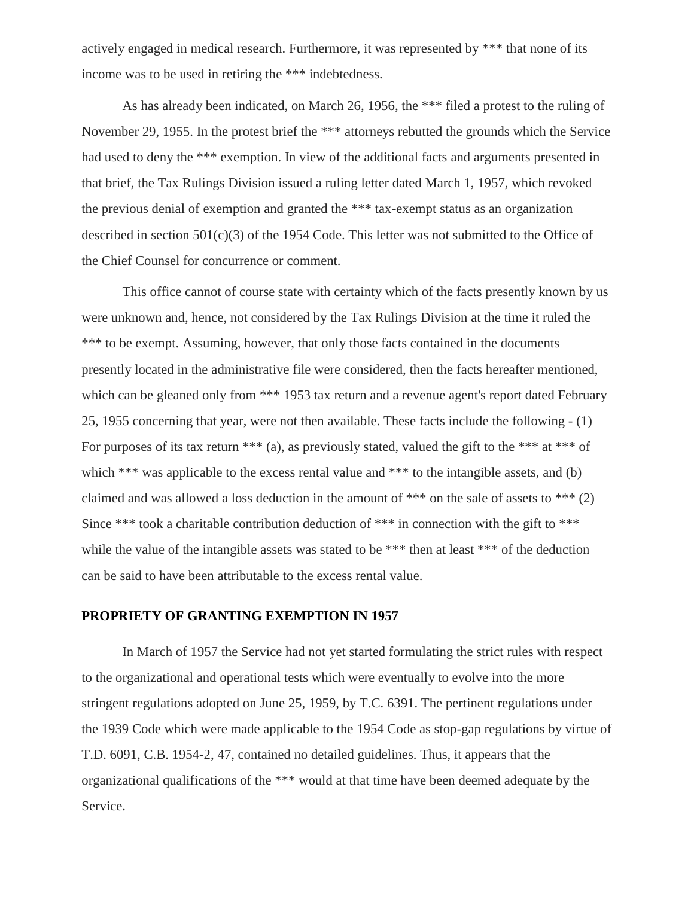actively engaged in medical research. Furthermore, it was represented by \*\*\* that none of its income was to be used in retiring the \*\*\* indebtedness.

As has already been indicated, on March 26, 1956, the \*\*\* filed a protest to the ruling of November 29, 1955. In the protest brief the \*\*\* attorneys rebutted the grounds which the Service had used to deny the \*\*\* exemption. In view of the additional facts and arguments presented in that brief, the Tax Rulings Division issued a ruling letter dated March 1, 1957, which revoked the previous denial of exemption and granted the \*\*\* tax-exempt status as an organization described in section 501(c)(3) of the 1954 Code. This letter was not submitted to the Office of the Chief Counsel for concurrence or comment.

This office cannot of course state with certainty which of the facts presently known by us were unknown and, hence, not considered by the Tax Rulings Division at the time it ruled the \*\*\* to be exempt. Assuming, however, that only those facts contained in the documents presently located in the administrative file were considered, then the facts hereafter mentioned, which can be gleaned only from \*\*\* 1953 tax return and a revenue agent's report dated February 25, 1955 concerning that year, were not then available. These facts include the following - (1) For purposes of its tax return  $***$  (a), as previously stated, valued the gift to the  $***$  at  $***$  of which \*\*\* was applicable to the excess rental value and \*\*\* to the intangible assets, and (b) claimed and was allowed a loss deduction in the amount of \*\*\* on the sale of assets to \*\*\*  $(2)$ Since \*\*\* took a charitable contribution deduction of \*\*\* in connection with the gift to \*\*\* while the value of the intangible assets was stated to be \*\*\* then at least \*\*\* of the deduction can be said to have been attributable to the excess rental value.

## **PROPRIETY OF GRANTING EXEMPTION IN 1957**

In March of 1957 the Service had not yet started formulating the strict rules with respect to the organizational and operational tests which were eventually to evolve into the more stringent regulations adopted on June 25, 1959, by T.C. 6391. The pertinent regulations under the 1939 Code which were made applicable to the 1954 Code as stop-gap regulations by virtue of T.D. 6091, C.B. 1954-2, 47, contained no detailed guidelines. Thus, it appears that the organizational qualifications of the \*\*\* would at that time have been deemed adequate by the Service.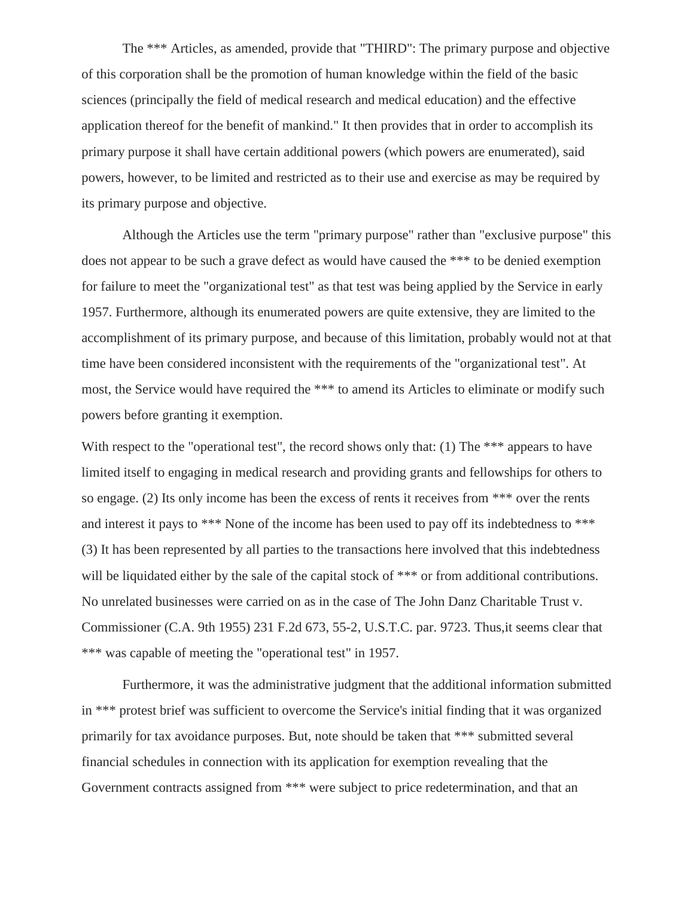The \*\*\* Articles, as amended, provide that "THIRD": The primary purpose and objective of this corporation shall be the promotion of human knowledge within the field of the basic sciences (principally the field of medical research and medical education) and the effective application thereof for the benefit of mankind." It then provides that in order to accomplish its primary purpose it shall have certain additional powers (which powers are enumerated), said powers, however, to be limited and restricted as to their use and exercise as may be required by its primary purpose and objective.

Although the Articles use the term "primary purpose" rather than "exclusive purpose" this does not appear to be such a grave defect as would have caused the \*\*\* to be denied exemption for failure to meet the "organizational test" as that test was being applied by the Service in early 1957. Furthermore, although its enumerated powers are quite extensive, they are limited to the accomplishment of its primary purpose, and because of this limitation, probably would not at that time have been considered inconsistent with the requirements of the "organizational test". At most, the Service would have required the \*\*\* to amend its Articles to eliminate or modify such powers before granting it exemption.

With respect to the "operational test", the record shows only that: (1) The \*\*\* appears to have limited itself to engaging in medical research and providing grants and fellowships for others to so engage. (2) Its only income has been the excess of rents it receives from \*\*\* over the rents and interest it pays to \*\*\* None of the income has been used to pay off its indebtedness to \*\*\* (3) It has been represented by all parties to the transactions here involved that this indebtedness will be liquidated either by the sale of the capital stock of \*\*\* or from additional contributions. No unrelated businesses were carried on as in the case of The John Danz Charitable Trust v. Commissioner (C.A. 9th 1955) 231 F.2d 673, 55-2, U.S.T.C. par. 9723. Thus,it seems clear that \*\*\* was capable of meeting the "operational test" in 1957.

Furthermore, it was the administrative judgment that the additional information submitted in \*\*\* protest brief was sufficient to overcome the Service's initial finding that it was organized primarily for tax avoidance purposes. But, note should be taken that \*\*\* submitted several financial schedules in connection with its application for exemption revealing that the Government contracts assigned from \*\*\* were subject to price redetermination, and that an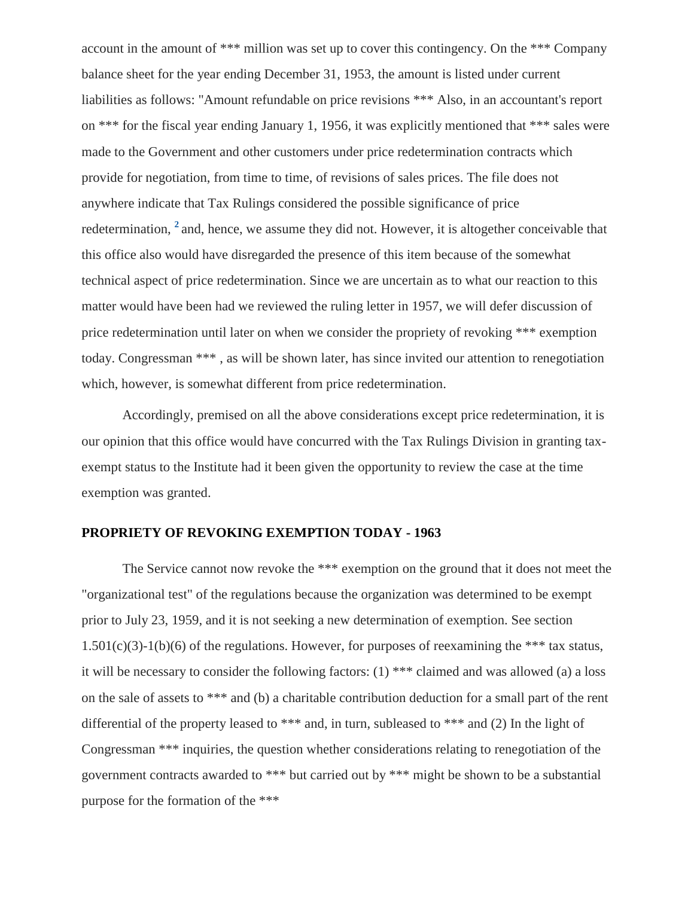<span id="page-6-0"></span>account in the amount of \*\*\* million was set up to cover this contingency. On the \*\*\* Company balance sheet for the year ending December 31, 1953, the amount is listed under current liabilities as follows: "Amount refundable on price revisions \*\*\* Also, in an accountant's report on \*\*\* for the fiscal year ending January 1, 1956, it was explicitly mentioned that \*\*\* sales were made to the Government and other customers under price redetermination contracts which provide for negotiation, from time to time, of revisions of sales prices. The file does not anywhere indicate that Tax Rulings considered the possible significance of price redetermination, **[2](#page-21-0)** and, hence, we assume they did not. However, it is altogether conceivable that this office also would have disregarded the presence of this item because of the somewhat technical aspect of price redetermination. Since we are uncertain as to what our reaction to this matter would have been had we reviewed the ruling letter in 1957, we will defer discussion of price redetermination until later on when we consider the propriety of revoking \*\*\* exemption today. Congressman \*\*\* , as will be shown later, has since invited our attention to renegotiation which, however, is somewhat different from price redetermination.

Accordingly, premised on all the above considerations except price redetermination, it is our opinion that this office would have concurred with the Tax Rulings Division in granting taxexempt status to the Institute had it been given the opportunity to review the case at the time exemption was granted.

# **PROPRIETY OF REVOKING EXEMPTION TODAY - 1963**

The Service cannot now revoke the \*\*\* exemption on the ground that it does not meet the "organizational test" of the regulations because the organization was determined to be exempt prior to July 23, 1959, and it is not seeking a new determination of exemption. See section 1.501(c)(3)-1(b)(6) of the regulations. However, for purposes of reexamining the \*\*\* tax status, it will be necessary to consider the following factors: (1) \*\*\* claimed and was allowed (a) a loss on the sale of assets to \*\*\* and (b) a charitable contribution deduction for a small part of the rent differential of the property leased to \*\*\* and, in turn, subleased to \*\*\* and (2) In the light of Congressman \*\*\* inquiries, the question whether considerations relating to renegotiation of the government contracts awarded to \*\*\* but carried out by \*\*\* might be shown to be a substantial purpose for the formation of the \*\*\*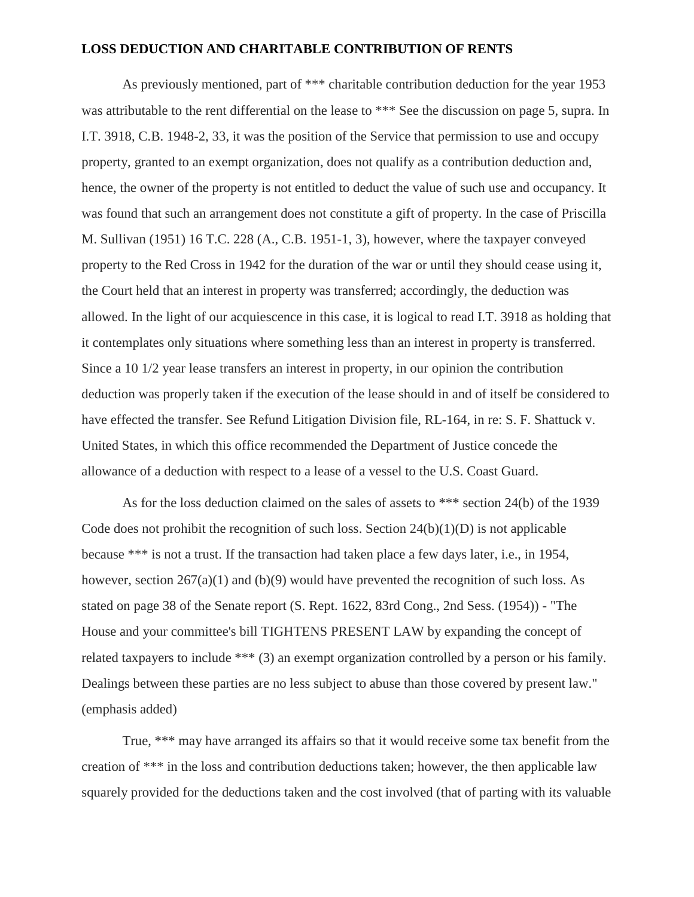## **LOSS DEDUCTION AND CHARITABLE CONTRIBUTION OF RENTS**

As previously mentioned, part of \*\*\* charitable contribution deduction for the year 1953 was attributable to the rent differential on the lease to \*\*\* See the discussion on page 5, supra. In I.T. 3918, C.B. 1948-2, 33, it was the position of the Service that permission to use and occupy property, granted to an exempt organization, does not qualify as a contribution deduction and, hence, the owner of the property is not entitled to deduct the value of such use and occupancy. It was found that such an arrangement does not constitute a gift of property. In the case of Priscilla M. Sullivan (1951) 16 T.C. 228 (A., C.B. 1951-1, 3), however, where the taxpayer conveyed property to the Red Cross in 1942 for the duration of the war or until they should cease using it, the Court held that an interest in property was transferred; accordingly, the deduction was allowed. In the light of our acquiescence in this case, it is logical to read I.T. 3918 as holding that it contemplates only situations where something less than an interest in property is transferred. Since a 10 1/2 year lease transfers an interest in property, in our opinion the contribution deduction was properly taken if the execution of the lease should in and of itself be considered to have effected the transfer. See Refund Litigation Division file, RL-164, in re: S. F. Shattuck v. United States, in which this office recommended the Department of Justice concede the allowance of a deduction with respect to a lease of a vessel to the U.S. Coast Guard.

As for the loss deduction claimed on the sales of assets to \*\*\* section 24(b) of the 1939 Code does not prohibit the recognition of such loss. Section  $24(b)(1)(D)$  is not applicable because \*\*\* is not a trust. If the transaction had taken place a few days later, i.e., in 1954, however, section  $267(a)(1)$  and (b)(9) would have prevented the recognition of such loss. As stated on page 38 of the Senate report (S. Rept. 1622, 83rd Cong., 2nd Sess. (1954)) - "The House and your committee's bill TIGHTENS PRESENT LAW by expanding the concept of related taxpayers to include \*\*\* (3) an exempt organization controlled by a person or his family. Dealings between these parties are no less subject to abuse than those covered by present law." (emphasis added)

True, \*\*\* may have arranged its affairs so that it would receive some tax benefit from the creation of \*\*\* in the loss and contribution deductions taken; however, the then applicable law squarely provided for the deductions taken and the cost involved (that of parting with its valuable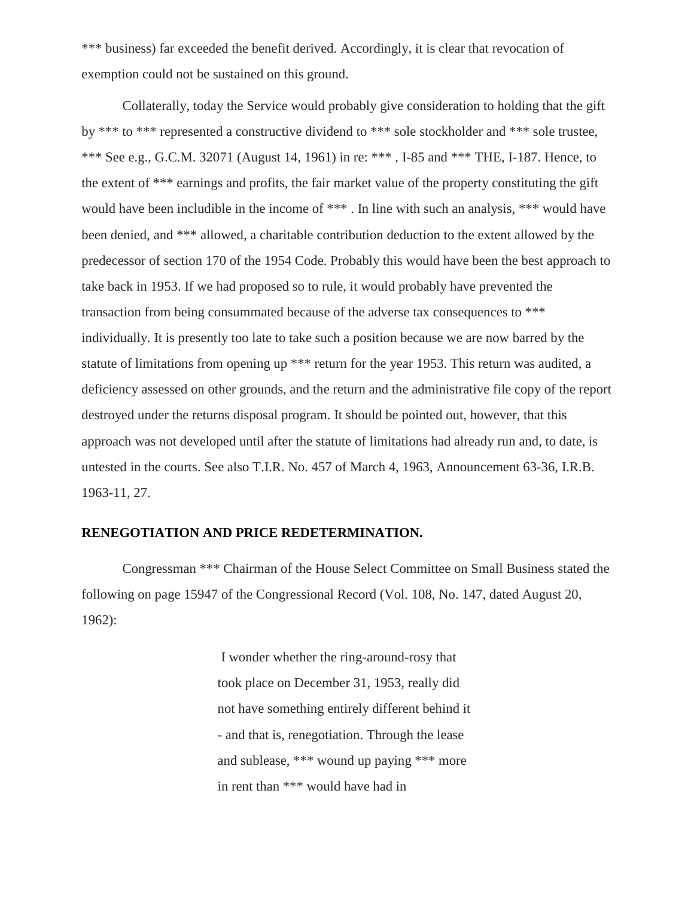\*\*\* business) far exceeded the benefit derived. Accordingly, it is clear that revocation of exemption could not be sustained on this ground.

Collaterally, today the Service would probably give consideration to holding that the gift by \*\*\* to \*\*\* represented a constructive dividend to \*\*\* sole stockholder and \*\*\* sole trustee, \*\*\* See e.g., G.C.M. 32071 (August 14, 1961) in re: \*\*\* , I-85 and \*\*\* THE, I-187. Hence, to the extent of \*\*\* earnings and profits, the fair market value of the property constituting the gift would have been includible in the income of \*\*\* . In line with such an analysis, \*\*\* would have been denied, and \*\*\* allowed, a charitable contribution deduction to the extent allowed by the predecessor of section 170 of the 1954 Code. Probably this would have been the best approach to take back in 1953. If we had proposed so to rule, it would probably have prevented the transaction from being consummated because of the adverse tax consequences to \*\*\* individually. It is presently too late to take such a position because we are now barred by the statute of limitations from opening up \*\*\* return for the year 1953. This return was audited, a deficiency assessed on other grounds, and the return and the administrative file copy of the report destroyed under the returns disposal program. It should be pointed out, however, that this approach was not developed until after the statute of limitations had already run and, to date, is untested in the courts. See also T.I.R. No. 457 of March 4, 1963, Announcement 63-36, I.R.B. 1963-11, 27.

## **RENEGOTIATION AND PRICE REDETERMINATION.**

Congressman \*\*\* Chairman of the House Select Committee on Small Business stated the following on page 15947 of the Congressional Record (Vol. 108, No. 147, dated August 20, 1962):

> I wonder whether the ring-around-rosy that took place on December 31, 1953, really did not have something entirely different behind it - and that is, renegotiation. Through the lease and sublease, \*\*\* wound up paying \*\*\* more in rent than \*\*\* would have had in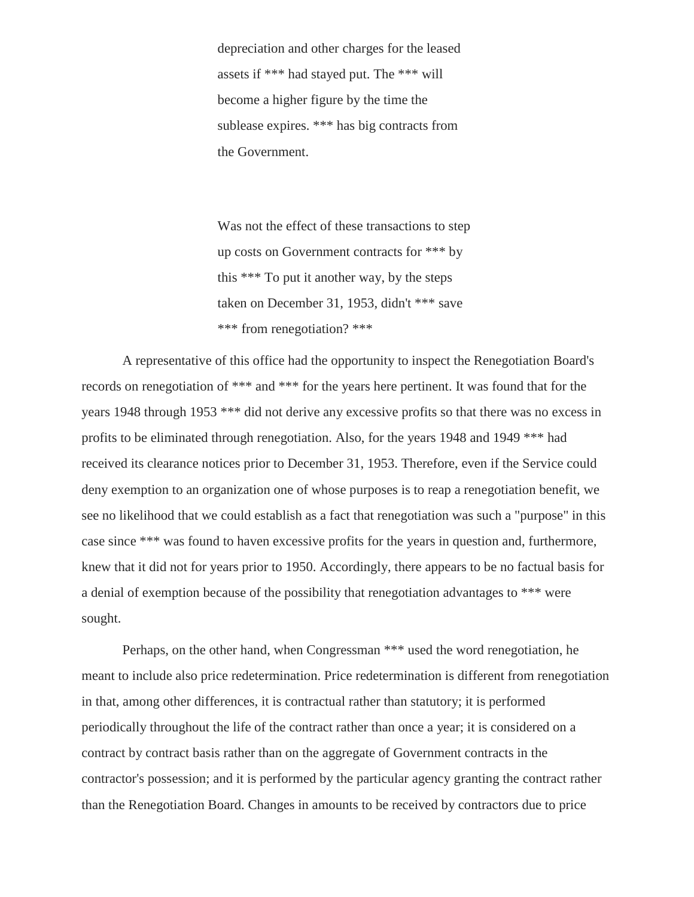depreciation and other charges for the leased assets if \*\*\* had stayed put. The \*\*\* will become a higher figure by the time the sublease expires. \*\*\* has big contracts from the Government.

Was not the effect of these transactions to step up costs on Government contracts for \*\*\* by this \*\*\* To put it another way, by the steps taken on December 31, 1953, didn't \*\*\* save \*\*\* from renegotiation? \*\*\*

A representative of this office had the opportunity to inspect the Renegotiation Board's records on renegotiation of \*\*\* and \*\*\* for the years here pertinent. It was found that for the years 1948 through 1953 \*\*\* did not derive any excessive profits so that there was no excess in profits to be eliminated through renegotiation. Also, for the years 1948 and 1949 \*\*\* had received its clearance notices prior to December 31, 1953. Therefore, even if the Service could deny exemption to an organization one of whose purposes is to reap a renegotiation benefit, we see no likelihood that we could establish as a fact that renegotiation was such a "purpose" in this case since \*\*\* was found to haven excessive profits for the years in question and, furthermore, knew that it did not for years prior to 1950. Accordingly, there appears to be no factual basis for a denial of exemption because of the possibility that renegotiation advantages to \*\*\* were sought.

Perhaps, on the other hand, when Congressman \*\*\* used the word renegotiation, he meant to include also price redetermination. Price redetermination is different from renegotiation in that, among other differences, it is contractual rather than statutory; it is performed periodically throughout the life of the contract rather than once a year; it is considered on a contract by contract basis rather than on the aggregate of Government contracts in the contractor's possession; and it is performed by the particular agency granting the contract rather than the Renegotiation Board. Changes in amounts to be received by contractors due to price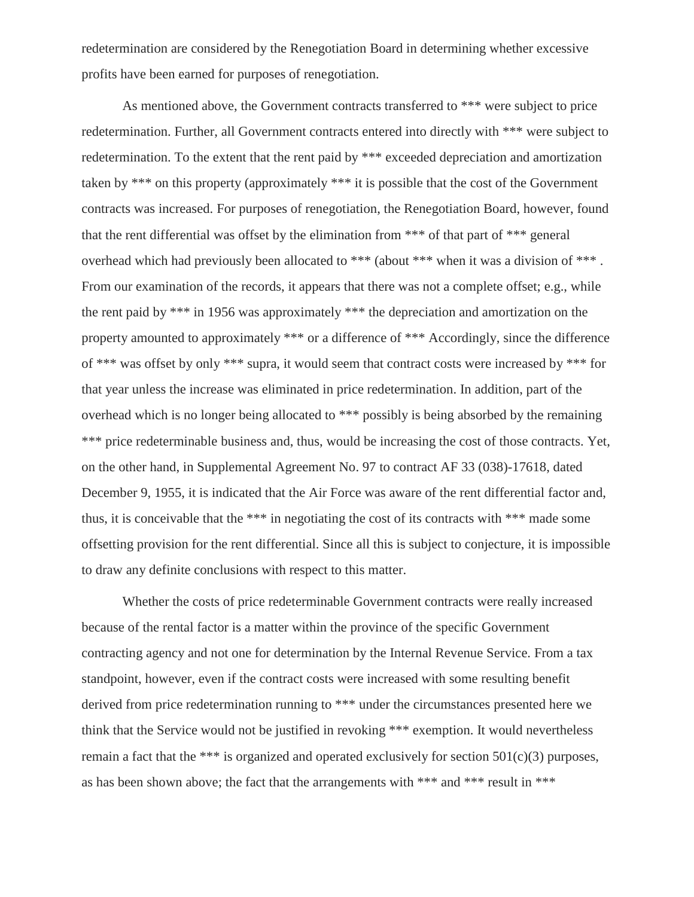redetermination are considered by the Renegotiation Board in determining whether excessive profits have been earned for purposes of renegotiation.

As mentioned above, the Government contracts transferred to \*\*\* were subject to price redetermination. Further, all Government contracts entered into directly with \*\*\* were subject to redetermination. To the extent that the rent paid by \*\*\* exceeded depreciation and amortization taken by \*\*\* on this property (approximately \*\*\* it is possible that the cost of the Government contracts was increased. For purposes of renegotiation, the Renegotiation Board, however, found that the rent differential was offset by the elimination from \*\*\* of that part of \*\*\* general overhead which had previously been allocated to \*\*\* (about \*\*\* when it was a division of \*\*\* . From our examination of the records, it appears that there was not a complete offset; e.g., while the rent paid by \*\*\* in 1956 was approximately \*\*\* the depreciation and amortization on the property amounted to approximately \*\*\* or a difference of \*\*\* Accordingly, since the difference of \*\*\* was offset by only \*\*\* supra, it would seem that contract costs were increased by \*\*\* for that year unless the increase was eliminated in price redetermination. In addition, part of the overhead which is no longer being allocated to \*\*\* possibly is being absorbed by the remaining \*\*\* price redeterminable business and, thus, would be increasing the cost of those contracts. Yet, on the other hand, in Supplemental Agreement No. 97 to contract AF 33 (038)-17618, dated December 9, 1955, it is indicated that the Air Force was aware of the rent differential factor and, thus, it is conceivable that the \*\*\* in negotiating the cost of its contracts with \*\*\* made some offsetting provision for the rent differential. Since all this is subject to conjecture, it is impossible to draw any definite conclusions with respect to this matter.

Whether the costs of price redeterminable Government contracts were really increased because of the rental factor is a matter within the province of the specific Government contracting agency and not one for determination by the Internal Revenue Service. From a tax standpoint, however, even if the contract costs were increased with some resulting benefit derived from price redetermination running to \*\*\* under the circumstances presented here we think that the Service would not be justified in revoking \*\*\* exemption. It would nevertheless remain a fact that the \*\*\* is organized and operated exclusively for section  $501(c)(3)$  purposes, as has been shown above; the fact that the arrangements with \*\*\* and \*\*\* result in \*\*\*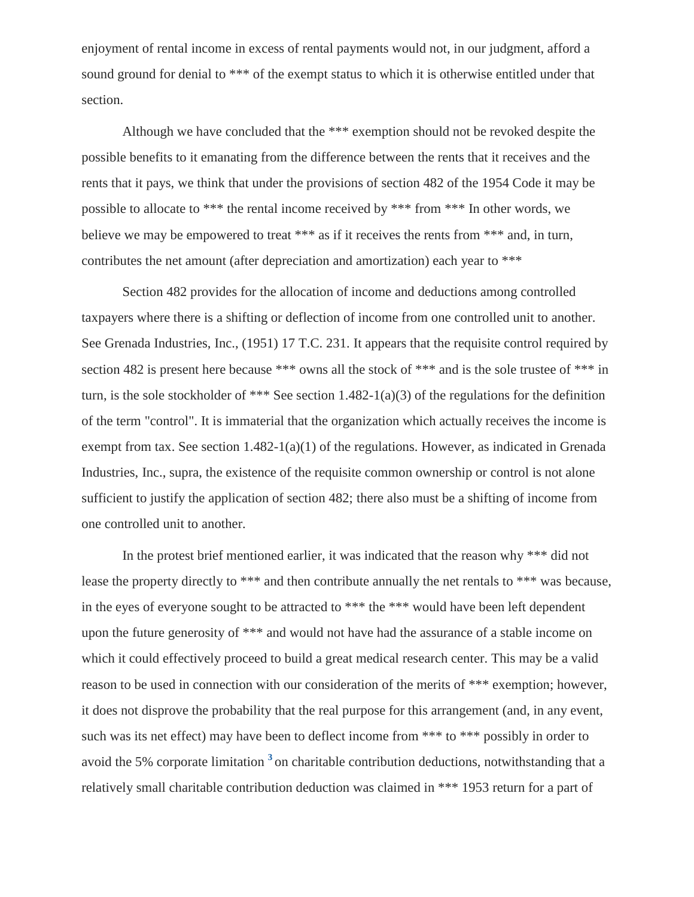enjoyment of rental income in excess of rental payments would not, in our judgment, afford a sound ground for denial to \*\*\* of the exempt status to which it is otherwise entitled under that section.

Although we have concluded that the \*\*\* exemption should not be revoked despite the possible benefits to it emanating from the difference between the rents that it receives and the rents that it pays, we think that under the provisions of section 482 of the 1954 Code it may be possible to allocate to \*\*\* the rental income received by \*\*\* from \*\*\* In other words, we believe we may be empowered to treat \*\*\* as if it receives the rents from \*\*\* and, in turn, contributes the net amount (after depreciation and amortization) each year to \*\*\*

Section 482 provides for the allocation of income and deductions among controlled taxpayers where there is a shifting or deflection of income from one controlled unit to another. See Grenada Industries, Inc., (1951) 17 T.C. 231. It appears that the requisite control required by section 482 is present here because \*\*\* owns all the stock of \*\*\* and is the sole trustee of \*\*\* in turn, is the sole stockholder of \*\*\* See section 1.482-1(a)(3) of the regulations for the definition of the term "control". It is immaterial that the organization which actually receives the income is exempt from tax. See section 1.482-1(a)(1) of the regulations. However, as indicated in Grenada Industries, Inc., supra, the existence of the requisite common ownership or control is not alone sufficient to justify the application of section 482; there also must be a shifting of income from one controlled unit to another.

<span id="page-11-0"></span>In the protest brief mentioned earlier, it was indicated that the reason why \*\*\* did not lease the property directly to \*\*\* and then contribute annually the net rentals to \*\*\* was because, in the eyes of everyone sought to be attracted to \*\*\* the \*\*\* would have been left dependent upon the future generosity of \*\*\* and would not have had the assurance of a stable income on which it could effectively proceed to build a great medical research center. This may be a valid reason to be used in connection with our consideration of the merits of \*\*\* exemption; however, it does not disprove the probability that the real purpose for this arrangement (and, in any event, such was its net effect) may have been to deflect income from \*\*\* to \*\*\* possibly in order to avoid the 5% corporate limitation **[3](#page-21-1)** on charitable contribution deductions, notwithstanding that a relatively small charitable contribution deduction was claimed in \*\*\* 1953 return for a part of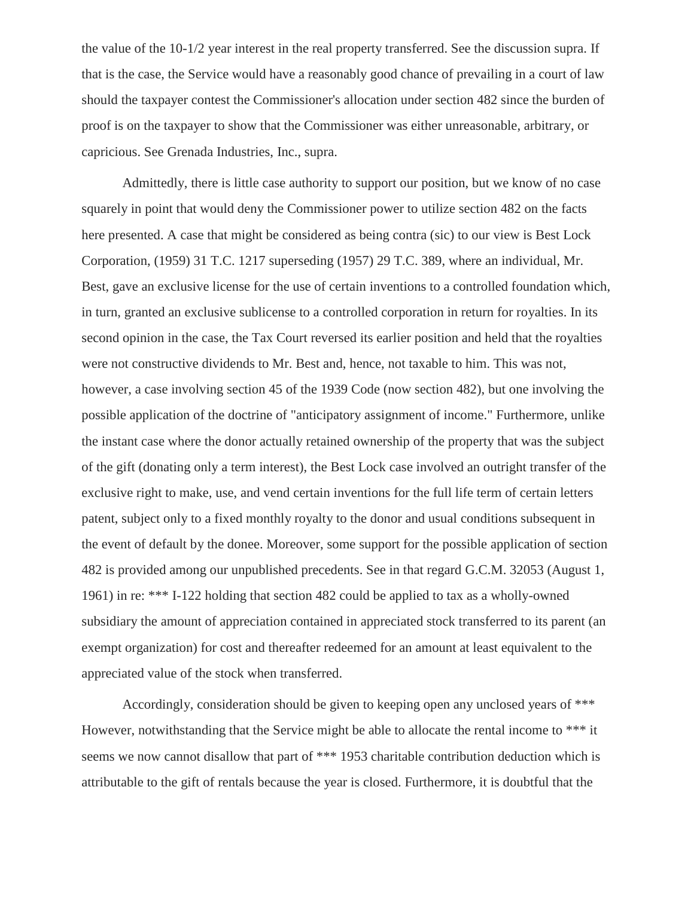the value of the 10-1/2 year interest in the real property transferred. See the discussion supra. If that is the case, the Service would have a reasonably good chance of prevailing in a court of law should the taxpayer contest the Commissioner's allocation under section 482 since the burden of proof is on the taxpayer to show that the Commissioner was either unreasonable, arbitrary, or capricious. See Grenada Industries, Inc., supra.

Admittedly, there is little case authority to support our position, but we know of no case squarely in point that would deny the Commissioner power to utilize section 482 on the facts here presented. A case that might be considered as being contra (sic) to our view is Best Lock Corporation, (1959) 31 T.C. 1217 superseding (1957) 29 T.C. 389, where an individual, Mr. Best, gave an exclusive license for the use of certain inventions to a controlled foundation which, in turn, granted an exclusive sublicense to a controlled corporation in return for royalties. In its second opinion in the case, the Tax Court reversed its earlier position and held that the royalties were not constructive dividends to Mr. Best and, hence, not taxable to him. This was not, however, a case involving section 45 of the 1939 Code (now section 482), but one involving the possible application of the doctrine of "anticipatory assignment of income." Furthermore, unlike the instant case where the donor actually retained ownership of the property that was the subject of the gift (donating only a term interest), the Best Lock case involved an outright transfer of the exclusive right to make, use, and vend certain inventions for the full life term of certain letters patent, subject only to a fixed monthly royalty to the donor and usual conditions subsequent in the event of default by the donee. Moreover, some support for the possible application of section 482 is provided among our unpublished precedents. See in that regard G.C.M. 32053 (August 1, 1961) in re: \*\*\* I-122 holding that section 482 could be applied to tax as a wholly-owned subsidiary the amount of appreciation contained in appreciated stock transferred to its parent (an exempt organization) for cost and thereafter redeemed for an amount at least equivalent to the appreciated value of the stock when transferred.

Accordingly, consideration should be given to keeping open any unclosed years of \*\*\* However, notwithstanding that the Service might be able to allocate the rental income to \*\*\* it seems we now cannot disallow that part of \*\*\* 1953 charitable contribution deduction which is attributable to the gift of rentals because the year is closed. Furthermore, it is doubtful that the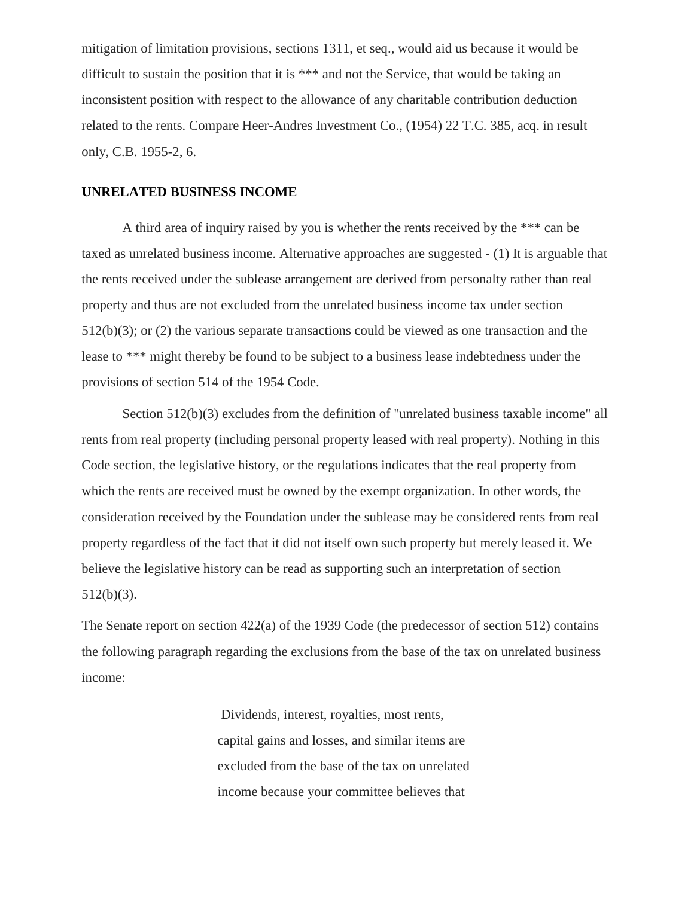mitigation of limitation provisions, sections 1311, et seq., would aid us because it would be difficult to sustain the position that it is \*\*\* and not the Service, that would be taking an inconsistent position with respect to the allowance of any charitable contribution deduction related to the rents. Compare Heer-Andres Investment Co., (1954) 22 T.C. 385, acq. in result only, C.B. 1955-2, 6.

## **UNRELATED BUSINESS INCOME**

A third area of inquiry raised by you is whether the rents received by the \*\*\* can be taxed as unrelated business income. Alternative approaches are suggested - (1) It is arguable that the rents received under the sublease arrangement are derived from personalty rather than real property and thus are not excluded from the unrelated business income tax under section 512(b)(3); or (2) the various separate transactions could be viewed as one transaction and the lease to \*\*\* might thereby be found to be subject to a business lease indebtedness under the provisions of section 514 of the 1954 Code.

Section 512(b)(3) excludes from the definition of "unrelated business taxable income" all rents from real property (including personal property leased with real property). Nothing in this Code section, the legislative history, or the regulations indicates that the real property from which the rents are received must be owned by the exempt organization. In other words, the consideration received by the Foundation under the sublease may be considered rents from real property regardless of the fact that it did not itself own such property but merely leased it. We believe the legislative history can be read as supporting such an interpretation of section 512(b)(3).

The Senate report on section 422(a) of the 1939 Code (the predecessor of section 512) contains the following paragraph regarding the exclusions from the base of the tax on unrelated business income:

> Dividends, interest, royalties, most rents, capital gains and losses, and similar items are excluded from the base of the tax on unrelated income because your committee believes that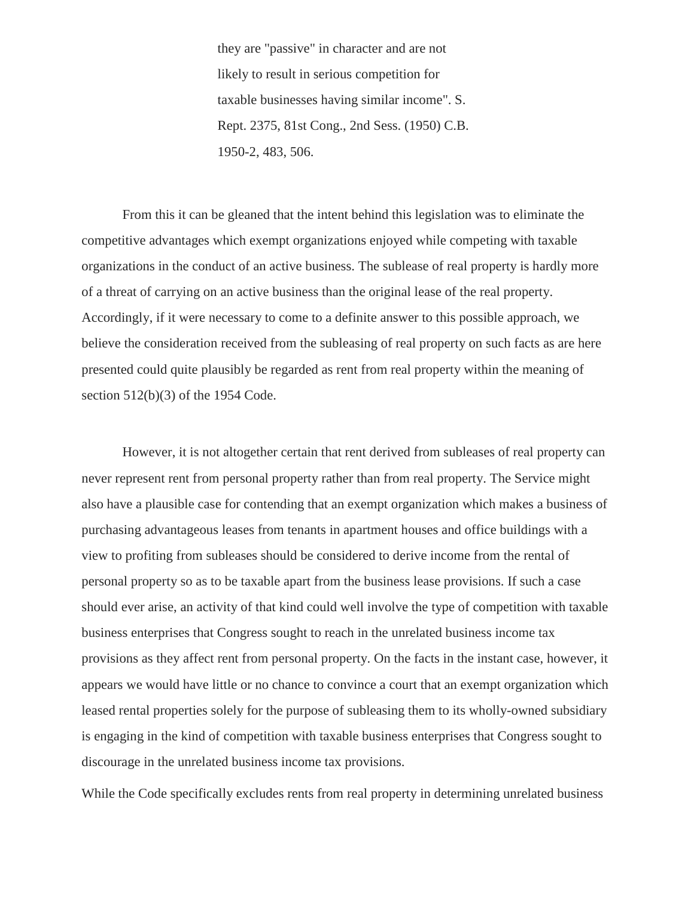they are "passive" in character and are not likely to result in serious competition for taxable businesses having similar income". S. Rept. 2375, 81st Cong., 2nd Sess. (1950) C.B. 1950-2, 483, 506.

From this it can be gleaned that the intent behind this legislation was to eliminate the competitive advantages which exempt organizations enjoyed while competing with taxable organizations in the conduct of an active business. The sublease of real property is hardly more of a threat of carrying on an active business than the original lease of the real property. Accordingly, if it were necessary to come to a definite answer to this possible approach, we believe the consideration received from the subleasing of real property on such facts as are here presented could quite plausibly be regarded as rent from real property within the meaning of section 512(b)(3) of the 1954 Code.

However, it is not altogether certain that rent derived from subleases of real property can never represent rent from personal property rather than from real property. The Service might also have a plausible case for contending that an exempt organization which makes a business of purchasing advantageous leases from tenants in apartment houses and office buildings with a view to profiting from subleases should be considered to derive income from the rental of personal property so as to be taxable apart from the business lease provisions. If such a case should ever arise, an activity of that kind could well involve the type of competition with taxable business enterprises that Congress sought to reach in the unrelated business income tax provisions as they affect rent from personal property. On the facts in the instant case, however, it appears we would have little or no chance to convince a court that an exempt organization which leased rental properties solely for the purpose of subleasing them to its wholly-owned subsidiary is engaging in the kind of competition with taxable business enterprises that Congress sought to discourage in the unrelated business income tax provisions.

While the Code specifically excludes rents from real property in determining unrelated business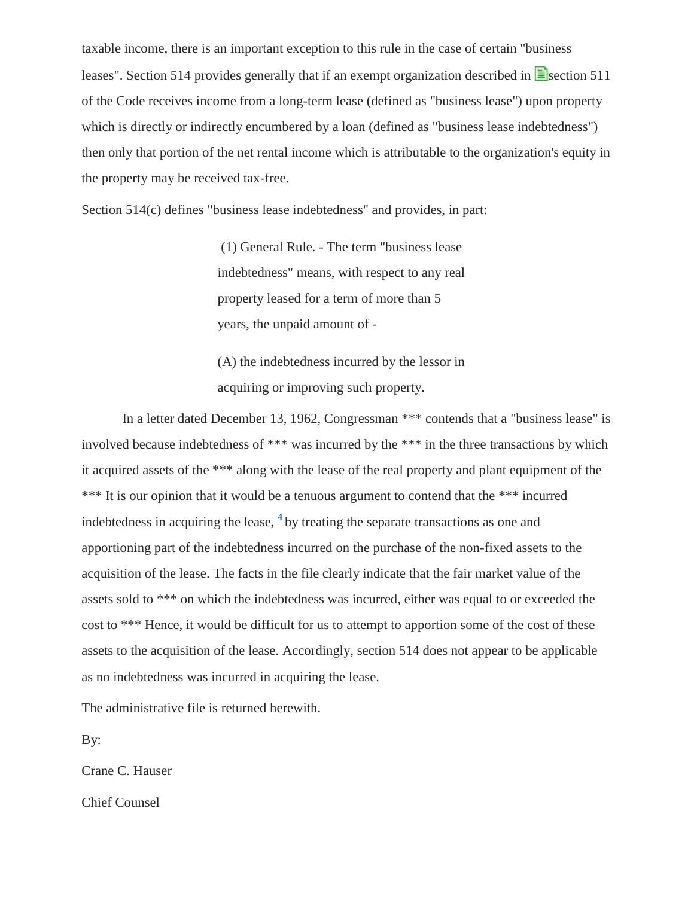taxable income, there is an important exception to this rule in the case of certain "business leases". Section 514 provides generally that if an exempt organization described in  $\blacksquare$  section 511 of the Code receives income from a long-term lease (defined as "business lease") upon property which is directly or indirectly encumbered by a loan (defined as "business lease indebtedness") then only that portion of the net rental income which is attributable to the organization's equity in the property may be received tax-free.

Section 514(c) defines "business lease indebtedness" and provides, in part:

(1) General Rule. - The term "business lease indebtedness" means, with respect to any real property leased for a term of more than 5 years, the unpaid amount of -

<span id="page-15-0"></span>(A) the indebtedness incurred by the lessor in acquiring or improving such property.

In a letter dated December 13, 1962, Congressman \*\*\* contends that a "business lease" is involved because indebtedness of \*\*\* was incurred by the \*\*\* in the three transactions by which it acquired assets of the \*\*\* along with the lease of the real property and plant equipment of the \*\*\* It is our opinion that it would be a tenuous argument to contend that the \*\*\* incurred indebtedness in acquiring the lease, **[4](#page-21-2)** by treating the separate transactions as one and apportioning part of the indebtedness incurred on the purchase of the non-fixed assets to the acquisition of the lease. The facts in the file clearly indicate that the fair market value of the assets sold to \*\*\* on which the indebtedness was incurred, either was equal to or exceeded the cost to \*\*\* Hence, it would be difficult for us to attempt to apportion some of the cost of these assets to the acquisition of the lease. Accordingly, section 514 does not appear to be applicable as no indebtedness was incurred in acquiring the lease.

The administrative file is returned herewith.

By:

Crane C. Hauser

Chief Counsel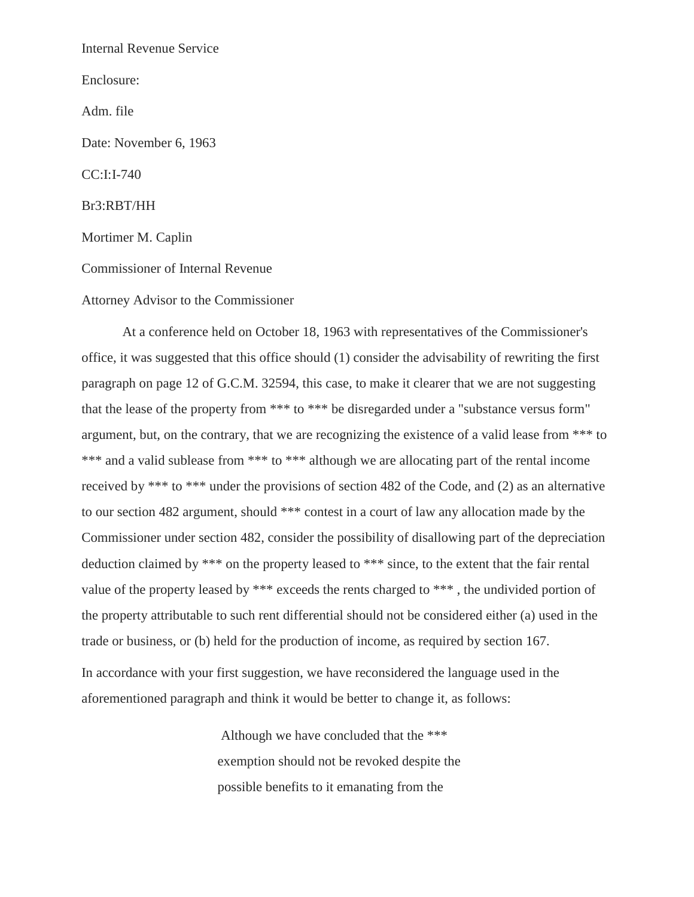Internal Revenue Service

Enclosure:

Adm. file

Date: November 6, 1963

CC:I:I-740

Br3:RBT/HH

Mortimer M. Caplin

Commissioner of Internal Revenue

Attorney Advisor to the Commissioner

At a conference held on October 18, 1963 with representatives of the Commissioner's office, it was suggested that this office should (1) consider the advisability of rewriting the first paragraph on page 12 of G.C.M. 32594, this case, to make it clearer that we are not suggesting that the lease of the property from \*\*\* to \*\*\* be disregarded under a "substance versus form" argument, but, on the contrary, that we are recognizing the existence of a valid lease from \*\*\* to \*\*\* and a valid sublease from \*\*\* to \*\*\* although we are allocating part of the rental income received by \*\*\* to \*\*\* under the provisions of section 482 of the Code, and (2) as an alternative to our section 482 argument, should \*\*\* contest in a court of law any allocation made by the Commissioner under section 482, consider the possibility of disallowing part of the depreciation deduction claimed by \*\*\* on the property leased to \*\*\* since, to the extent that the fair rental value of the property leased by \*\*\* exceeds the rents charged to \*\*\* , the undivided portion of the property attributable to such rent differential should not be considered either (a) used in the trade or business, or (b) held for the production of income, as required by section 167. In accordance with your first suggestion, we have reconsidered the language used in the aforementioned paragraph and think it would be better to change it, as follows:

> Although we have concluded that the \*\*\* exemption should not be revoked despite the possible benefits to it emanating from the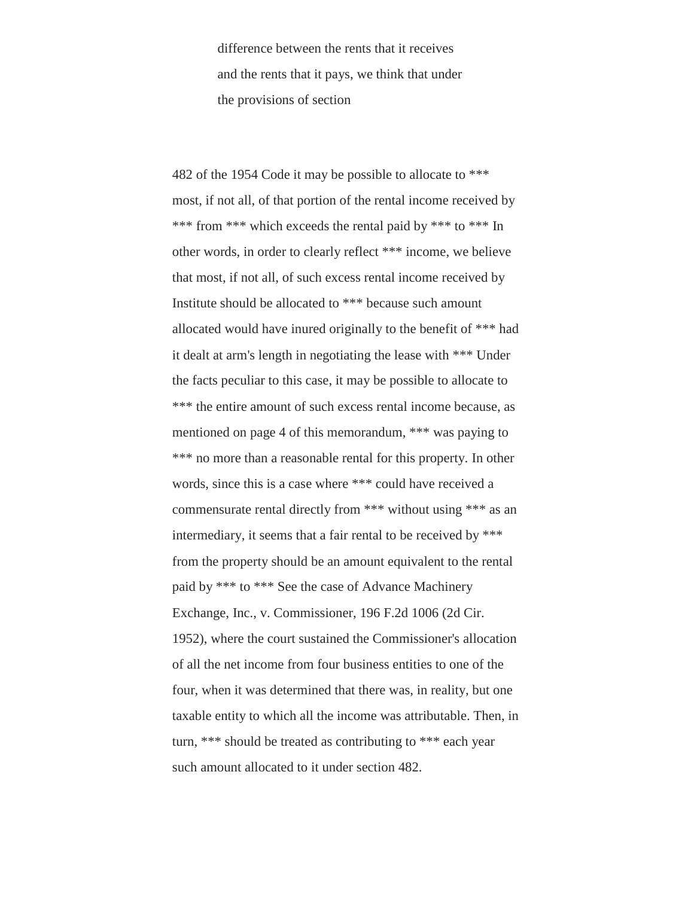difference between the rents that it receives and the rents that it pays, we think that under the provisions of section

482 of the 1954 Code it may be possible to allocate to \*\*\* most, if not all, of that portion of the rental income received by \*\*\* from \*\*\* which exceeds the rental paid by \*\*\* to \*\*\* In other words, in order to clearly reflect \*\*\* income, we believe that most, if not all, of such excess rental income received by Institute should be allocated to \*\*\* because such amount allocated would have inured originally to the benefit of \*\*\* had it dealt at arm's length in negotiating the lease with \*\*\* Under the facts peculiar to this case, it may be possible to allocate to \*\*\* the entire amount of such excess rental income because, as mentioned on page 4 of this memorandum, \*\*\* was paying to \*\*\* no more than a reasonable rental for this property. In other words, since this is a case where \*\*\* could have received a commensurate rental directly from \*\*\* without using \*\*\* as an intermediary, it seems that a fair rental to be received by \*\*\* from the property should be an amount equivalent to the rental paid by \*\*\* to \*\*\* See the case of Advance Machinery Exchange, Inc., v. Commissioner, 196 F.2d 1006 (2d Cir. 1952), where the court sustained the Commissioner's allocation of all the net income from four business entities to one of the four, when it was determined that there was, in reality, but one taxable entity to which all the income was attributable. Then, in turn, \*\*\* should be treated as contributing to \*\*\* each year such amount allocated to it under section 482.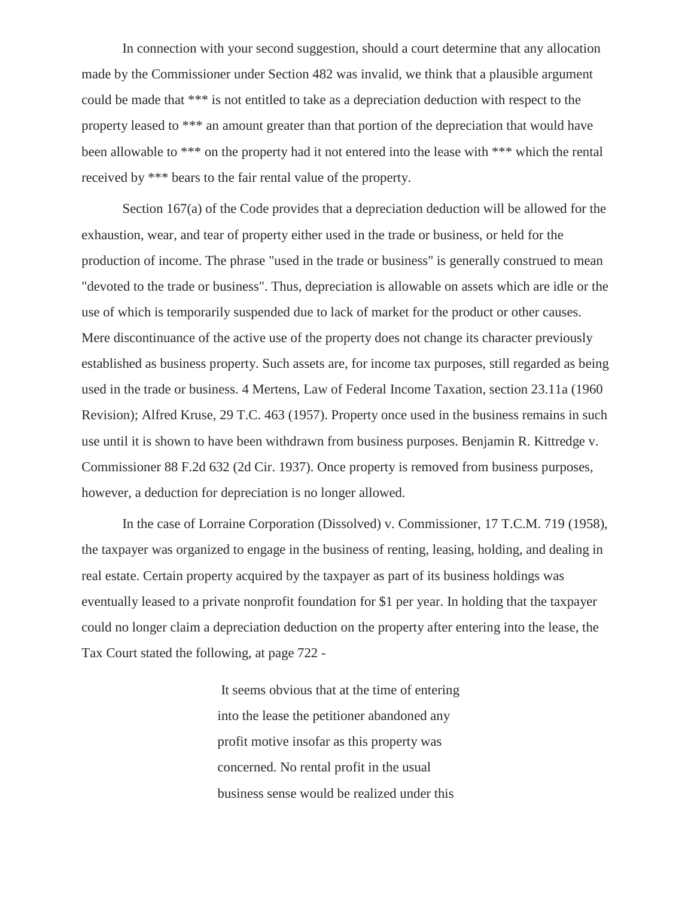In connection with your second suggestion, should a court determine that any allocation made by the Commissioner under Section 482 was invalid, we think that a plausible argument could be made that \*\*\* is not entitled to take as a depreciation deduction with respect to the property leased to \*\*\* an amount greater than that portion of the depreciation that would have been allowable to \*\*\* on the property had it not entered into the lease with \*\*\* which the rental received by \*\*\* bears to the fair rental value of the property.

Section 167(a) of the Code provides that a depreciation deduction will be allowed for the exhaustion, wear, and tear of property either used in the trade or business, or held for the production of income. The phrase "used in the trade or business" is generally construed to mean "devoted to the trade or business". Thus, depreciation is allowable on assets which are idle or the use of which is temporarily suspended due to lack of market for the product or other causes. Mere discontinuance of the active use of the property does not change its character previously established as business property. Such assets are, for income tax purposes, still regarded as being used in the trade or business. 4 Mertens, Law of Federal Income Taxation, section 23.11a (1960 Revision); Alfred Kruse, 29 T.C. 463 (1957). Property once used in the business remains in such use until it is shown to have been withdrawn from business purposes. Benjamin R. Kittredge v. Commissioner 88 F.2d 632 (2d Cir. 1937). Once property is removed from business purposes, however, a deduction for depreciation is no longer allowed.

In the case of Lorraine Corporation (Dissolved) v. Commissioner, 17 T.C.M. 719 (1958), the taxpayer was organized to engage in the business of renting, leasing, holding, and dealing in real estate. Certain property acquired by the taxpayer as part of its business holdings was eventually leased to a private nonprofit foundation for \$1 per year. In holding that the taxpayer could no longer claim a depreciation deduction on the property after entering into the lease, the Tax Court stated the following, at page 722 -

> It seems obvious that at the time of entering into the lease the petitioner abandoned any profit motive insofar as this property was concerned. No rental profit in the usual business sense would be realized under this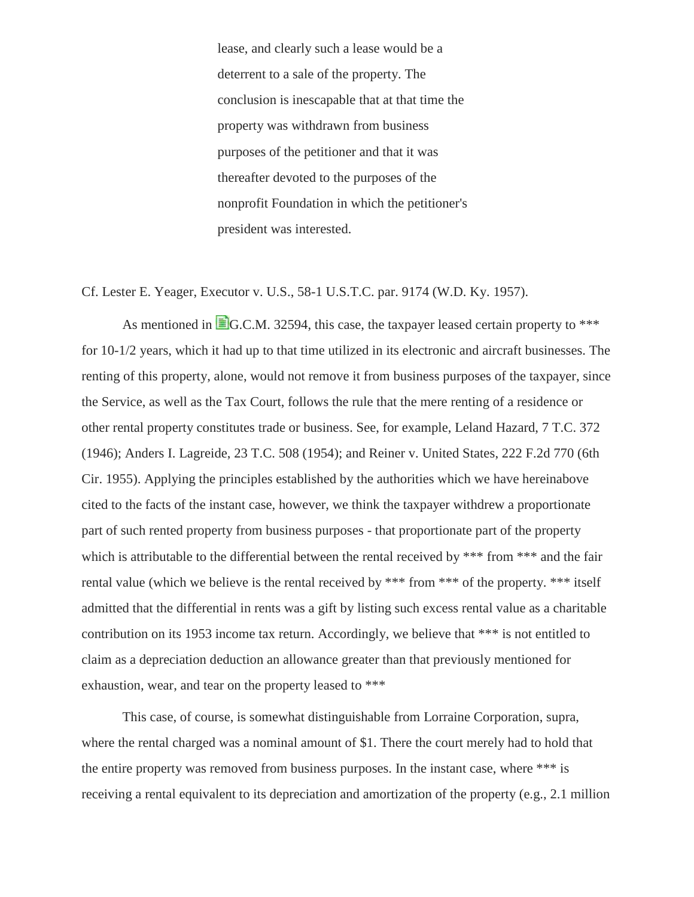lease, and clearly such a lease would be a deterrent to a sale of the property. The conclusion is inescapable that at that time the property was withdrawn from business purposes of the petitioner and that it was thereafter devoted to the purposes of the nonprofit Foundation in which the petitioner's president was interested.

Cf. Lester E. Yeager, Executor v. U.S., 58-1 U.S.T.C. par. 9174 (W.D. Ky. 1957).

As mentioned in  $\equiv$  G.C.M. 32594, this case, the taxpayer leased certain property to \*\*\* for 10-1/2 years, which it had up to that time utilized in its electronic and aircraft businesses. The renting of this property, alone, would not remove it from business purposes of the taxpayer, since the Service, as well as the Tax Court, follows the rule that the mere renting of a residence or other rental property constitutes trade or business. See, for example, Leland Hazard, 7 T.C. 372 (1946); Anders I. Lagreide, 23 T.C. 508 (1954); and Reiner v. United States, 222 F.2d 770 (6th Cir. 1955). Applying the principles established by the authorities which we have hereinabove cited to the facts of the instant case, however, we think the taxpayer withdrew a proportionate part of such rented property from business purposes - that proportionate part of the property which is attributable to the differential between the rental received by \*\*\* from \*\*\* and the fair rental value (which we believe is the rental received by \*\*\* from \*\*\* of the property. \*\*\* itself admitted that the differential in rents was a gift by listing such excess rental value as a charitable contribution on its 1953 income tax return. Accordingly, we believe that \*\*\* is not entitled to claim as a depreciation deduction an allowance greater than that previously mentioned for exhaustion, wear, and tear on the property leased to \*\*\*

This case, of course, is somewhat distinguishable from Lorraine Corporation, supra, where the rental charged was a nominal amount of \$1. There the court merely had to hold that the entire property was removed from business purposes. In the instant case, where \*\*\* is receiving a rental equivalent to its depreciation and amortization of the property (e.g., 2.1 million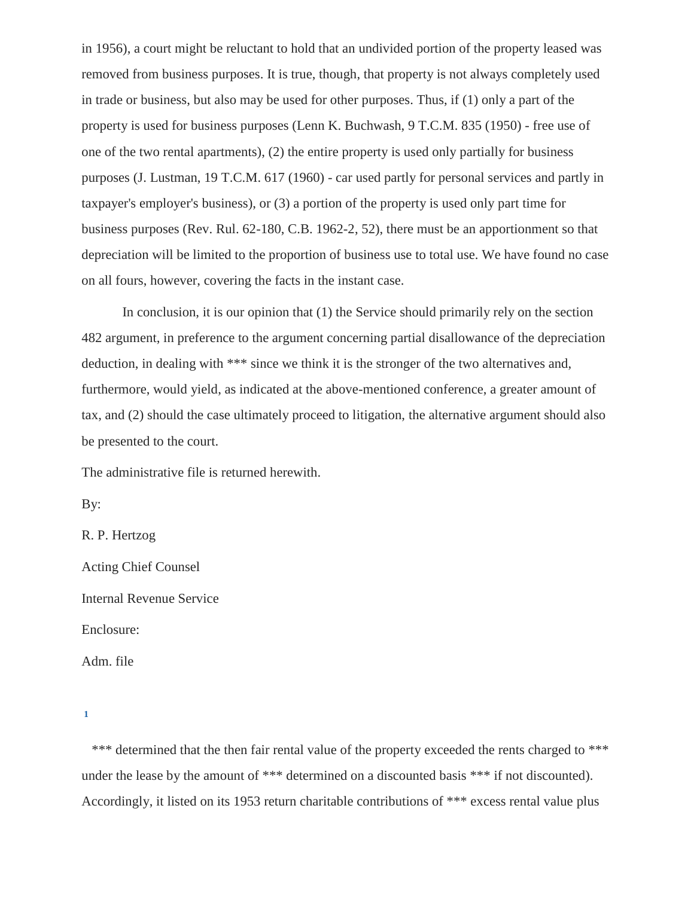in 1956), a court might be reluctant to hold that an undivided portion of the property leased was removed from business purposes. It is true, though, that property is not always completely used in trade or business, but also may be used for other purposes. Thus, if (1) only a part of the property is used for business purposes (Lenn K. Buchwash, 9 T.C.M. 835 (1950) - free use of one of the two rental apartments), (2) the entire property is used only partially for business purposes (J. Lustman, 19 T.C.M. 617 (1960) - car used partly for personal services and partly in taxpayer's employer's business), or (3) a portion of the property is used only part time for business purposes (Rev. Rul. 62-180, C.B. 1962-2, 52), there must be an apportionment so that depreciation will be limited to the proportion of business use to total use. We have found no case on all fours, however, covering the facts in the instant case.

In conclusion, it is our opinion that (1) the Service should primarily rely on the section 482 argument, in preference to the argument concerning partial disallowance of the depreciation deduction, in dealing with \*\*\* since we think it is the stronger of the two alternatives and, furthermore, would yield, as indicated at the above-mentioned conference, a greater amount of tax, and (2) should the case ultimately proceed to litigation, the alternative argument should also be presented to the court.

The administrative file is returned herewith.

By:

R. P. Hertzog

Acting Chief Counsel Internal Revenue Service

Enclosure:

Adm. file

\*\*\* determined that the then fair rental value of the property exceeded the rents charged to \*\*\* under the lease by the amount of \*\*\* determined on a discounted basis \*\*\* if not discounted). Accordingly, it listed on its 1953 return charitable contributions of \*\*\* excess rental value plus

<span id="page-20-0"></span>**[<sup>1</sup>](#page-3-0)**